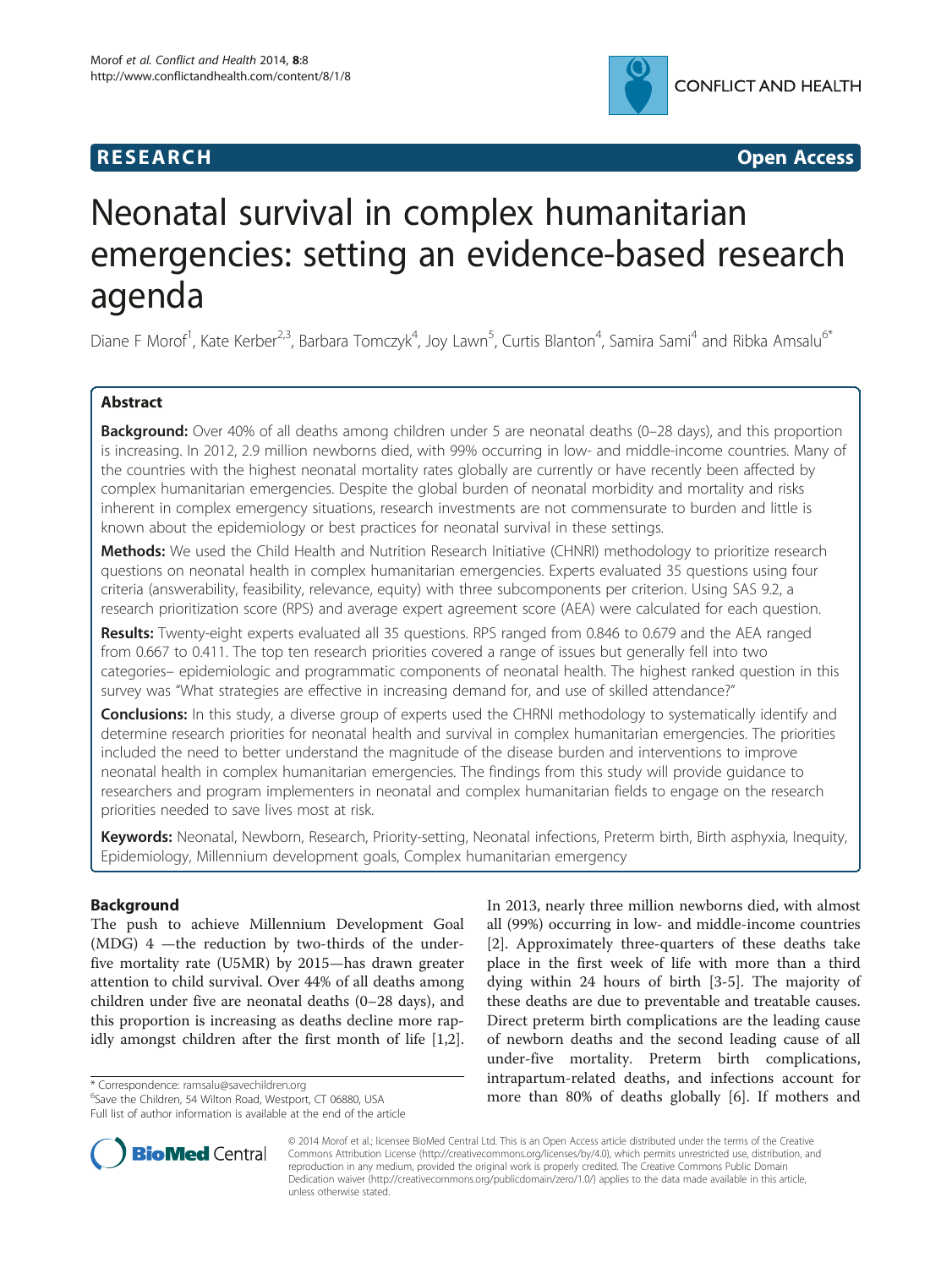## **RESEARCH RESEARCH CONSUMING ACCESS**



# Neonatal survival in complex humanitarian emergencies: setting an evidence-based research agenda

Diane F Morof<sup>1</sup>, Kate Kerber<sup>2,3</sup>, Barbara Tomczyk<sup>4</sup>, Joy Lawn<sup>5</sup>, Curtis Blanton<sup>4</sup>, Samira Sami<sup>4</sup> and Ribka Amsalu<sup>6</sup>\*

## Abstract

Background: Over 40% of all deaths among children under 5 are neonatal deaths (0-28 days), and this proportion is increasing. In 2012, 2.9 million newborns died, with 99% occurring in low- and middle-income countries. Many of the countries with the highest neonatal mortality rates globally are currently or have recently been affected by complex humanitarian emergencies. Despite the global burden of neonatal morbidity and mortality and risks inherent in complex emergency situations, research investments are not commensurate to burden and little is known about the epidemiology or best practices for neonatal survival in these settings.

Methods: We used the Child Health and Nutrition Research Initiative (CHNRI) methodology to prioritize research questions on neonatal health in complex humanitarian emergencies. Experts evaluated 35 questions using four criteria (answerability, feasibility, relevance, equity) with three subcomponents per criterion. Using SAS 9.2, a research prioritization score (RPS) and average expert agreement score (AEA) were calculated for each question.

Results: Twenty-eight experts evaluated all 35 questions. RPS ranged from 0.846 to 0.679 and the AEA ranged from 0.667 to 0.411. The top ten research priorities covered a range of issues but generally fell into two categories– epidemiologic and programmatic components of neonatal health. The highest ranked question in this survey was "What strategies are effective in increasing demand for, and use of skilled attendance?"

**Conclusions:** In this study, a diverse group of experts used the CHRNI methodology to systematically identify and determine research priorities for neonatal health and survival in complex humanitarian emergencies. The priorities included the need to better understand the magnitude of the disease burden and interventions to improve neonatal health in complex humanitarian emergencies. The findings from this study will provide guidance to researchers and program implementers in neonatal and complex humanitarian fields to engage on the research priorities needed to save lives most at risk.

Keywords: Neonatal, Newborn, Research, Priority-setting, Neonatal infections, Preterm birth, Birth asphyxia, Inequity, Epidemiology, Millennium development goals, Complex humanitarian emergency

## Background

The push to achieve Millennium Development Goal (MDG) 4 —the reduction by two-thirds of the underfive mortality rate (U5MR) by 2015—has drawn greater attention to child survival. Over 44% of all deaths among children under five are neonatal deaths (0–28 days), and this proportion is increasing as deaths decline more rapidly amongst children after the first month of life [\[1,2](#page-10-0)].

<sup>6</sup>Save the Children, 54 Wilton Road, Westport, CT 06880, USA Full list of author information is available at the end of the article

In 2013, nearly three million newborns died, with almost all (99%) occurring in low- and middle-income countries [[2\]](#page-10-0). Approximately three-quarters of these deaths take place in the first week of life with more than a third dying within 24 hours of birth [[3-5](#page-10-0)]. The majority of these deaths are due to preventable and treatable causes. Direct preterm birth complications are the leading cause of newborn deaths and the second leading cause of all under-five mortality. Preterm birth complications, intrapartum-related deaths, and infections account for \* Correspondence: [ramsalu@savechildren.org](mailto:ramsalu@savechildren.org)<br>
<sup>6</sup>Save the Children, 54 Wilton Road, Westport, CT 06880, USA **more than 80% of deaths globally [[6\]](#page-10-0). If mothers and** 



© 2014 Morof et al.; licensee BioMed Central Ltd. This is an Open Access article distributed under the terms of the Creative Commons Attribution License [\(http://creativecommons.org/licenses/by/4.0\)](http://creativecommons.org/licenses/by/4.0), which permits unrestricted use, distribution, and reproduction in any medium, provided the original work is properly credited. The Creative Commons Public Domain Dedication waiver [\(http://creativecommons.org/publicdomain/zero/1.0/](http://creativecommons.org/publicdomain/zero/1.0/)) applies to the data made available in this article, unless otherwise stated.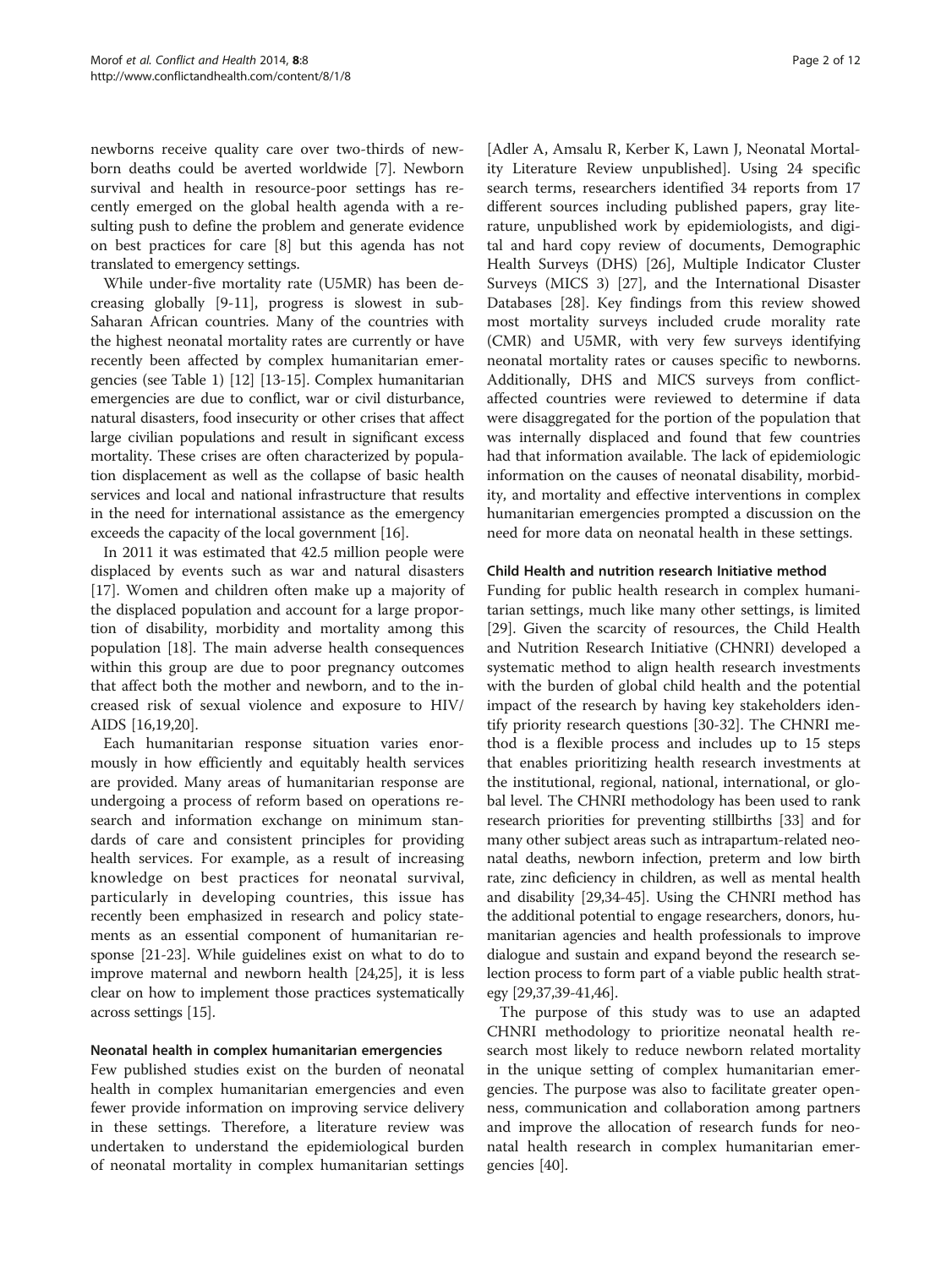newborns receive quality care over two-thirds of newborn deaths could be averted worldwide [[7\]](#page-10-0). Newborn survival and health in resource-poor settings has recently emerged on the global health agenda with a resulting push to define the problem and generate evidence on best practices for care [[8](#page-10-0)] but this agenda has not translated to emergency settings.

While under-five mortality rate (U5MR) has been decreasing globally [[9-11](#page-10-0)], progress is slowest in sub-Saharan African countries. Many of the countries with the highest neonatal mortality rates are currently or have recently been affected by complex humanitarian emergencies (see Table [1](#page-2-0)) [[12](#page-10-0)] [[13-15\]](#page-10-0). Complex humanitarian emergencies are due to conflict, war or civil disturbance, natural disasters, food insecurity or other crises that affect large civilian populations and result in significant excess mortality. These crises are often characterized by population displacement as well as the collapse of basic health services and local and national infrastructure that results in the need for international assistance as the emergency exceeds the capacity of the local government [\[16\]](#page-10-0).

In 2011 it was estimated that 42.5 million people were displaced by events such as war and natural disasters [[17\]](#page-10-0). Women and children often make up a majority of the displaced population and account for a large proportion of disability, morbidity and mortality among this population [[18\]](#page-11-0). The main adverse health consequences within this group are due to poor pregnancy outcomes that affect both the mother and newborn, and to the increased risk of sexual violence and exposure to HIV/ AIDS [\[16](#page-10-0)[,19,20\]](#page-11-0).

Each humanitarian response situation varies enormously in how efficiently and equitably health services are provided. Many areas of humanitarian response are undergoing a process of reform based on operations research and information exchange on minimum standards of care and consistent principles for providing health services. For example, as a result of increasing knowledge on best practices for neonatal survival, particularly in developing countries, this issue has recently been emphasized in research and policy statements as an essential component of humanitarian response [\[21-23\]](#page-11-0). While guidelines exist on what to do to improve maternal and newborn health [\[24,25](#page-11-0)], it is less clear on how to implement those practices systematically across settings [[15\]](#page-10-0).

## Neonatal health in complex humanitarian emergencies

Few published studies exist on the burden of neonatal health in complex humanitarian emergencies and even fewer provide information on improving service delivery in these settings. Therefore, a literature review was undertaken to understand the epidemiological burden of neonatal mortality in complex humanitarian settings

[Adler A, Amsalu R, Kerber K, Lawn J, Neonatal Mortality Literature Review unpublished]. Using 24 specific search terms, researchers identified 34 reports from 17 different sources including published papers, gray literature, unpublished work by epidemiologists, and digital and hard copy review of documents, Demographic Health Surveys (DHS) [\[26](#page-11-0)], Multiple Indicator Cluster Surveys (MICS 3) [[27](#page-11-0)], and the International Disaster Databases [[28](#page-11-0)]. Key findings from this review showed most mortality surveys included crude morality rate (CMR) and U5MR, with very few surveys identifying neonatal mortality rates or causes specific to newborns. Additionally, DHS and MICS surveys from conflictaffected countries were reviewed to determine if data were disaggregated for the portion of the population that was internally displaced and found that few countries had that information available. The lack of epidemiologic information on the causes of neonatal disability, morbidity, and mortality and effective interventions in complex humanitarian emergencies prompted a discussion on the need for more data on neonatal health in these settings.

## Child Health and nutrition research Initiative method

Funding for public health research in complex humanitarian settings, much like many other settings, is limited [[29\]](#page-11-0). Given the scarcity of resources, the Child Health and Nutrition Research Initiative (CHNRI) developed a systematic method to align health research investments with the burden of global child health and the potential impact of the research by having key stakeholders identify priority research questions [\[30-32](#page-11-0)]. The CHNRI method is a flexible process and includes up to 15 steps that enables prioritizing health research investments at the institutional, regional, national, international, or global level. The CHNRI methodology has been used to rank research priorities for preventing stillbirths [[33](#page-11-0)] and for many other subject areas such as intrapartum-related neonatal deaths, newborn infection, preterm and low birth rate, zinc deficiency in children, as well as mental health and disability [[29,34](#page-11-0)-[45](#page-11-0)]. Using the CHNRI method has the additional potential to engage researchers, donors, humanitarian agencies and health professionals to improve dialogue and sustain and expand beyond the research selection process to form part of a viable public health strategy [[29,37,39-41,46\]](#page-11-0).

The purpose of this study was to use an adapted CHNRI methodology to prioritize neonatal health research most likely to reduce newborn related mortality in the unique setting of complex humanitarian emergencies. The purpose was also to facilitate greater openness, communication and collaboration among partners and improve the allocation of research funds for neonatal health research in complex humanitarian emergencies [\[40](#page-11-0)].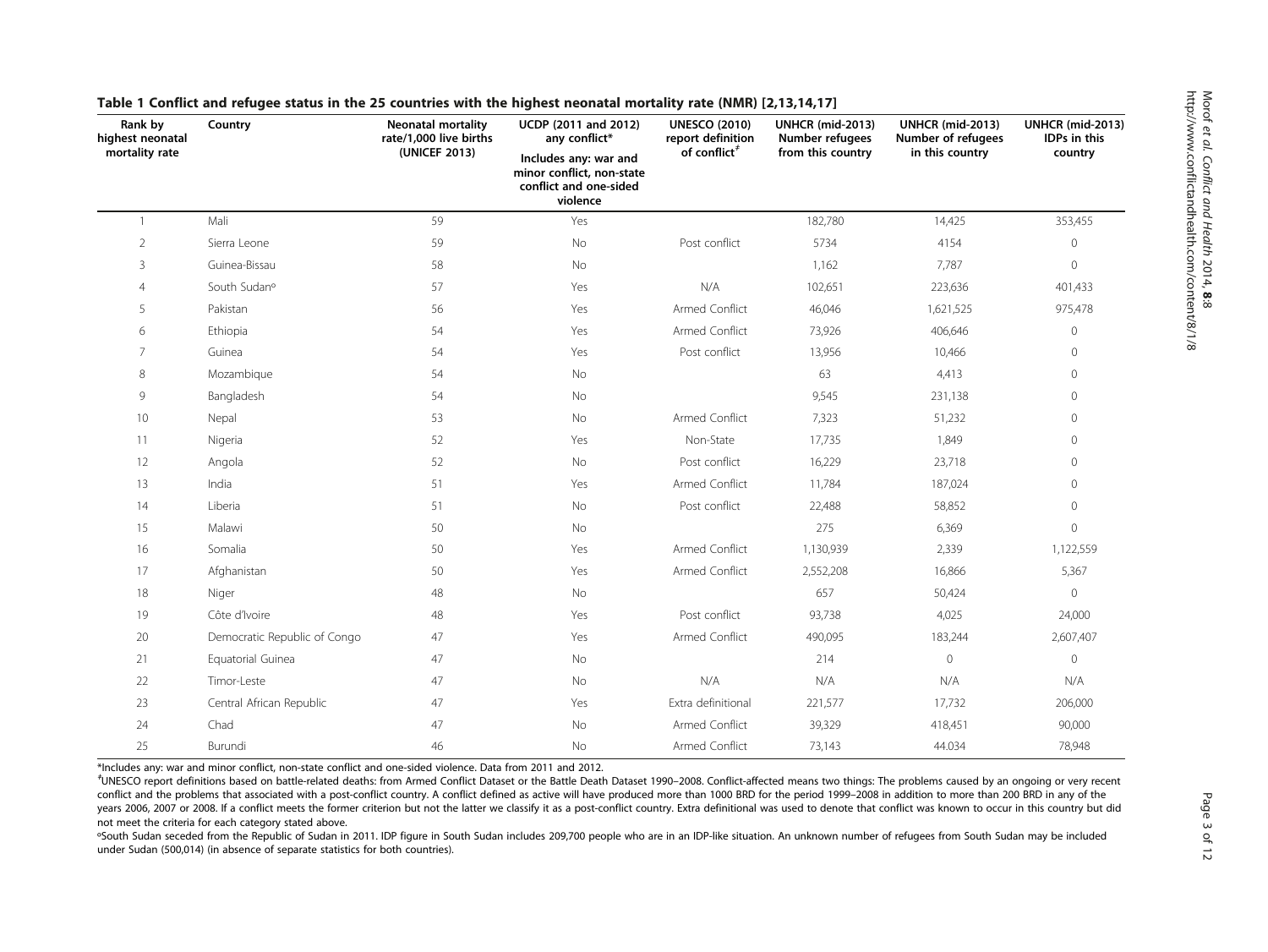| Rank by<br>highest neonatal | Country                      | <b>Neonatal mortality</b><br>rate/1,000 live births | UCDP (2011 and 2012)<br>any conflict*                                                    | <b>UNESCO (2010)</b><br>report definition | <b>UNHCR (mid-2013)</b><br>Number refugees | <b>UNHCR (mid-2013)</b><br><b>Number of refugees</b><br>in this country | <b>UNHCR (mid-2013)</b><br>IDPs in this |
|-----------------------------|------------------------------|-----------------------------------------------------|------------------------------------------------------------------------------------------|-------------------------------------------|--------------------------------------------|-------------------------------------------------------------------------|-----------------------------------------|
| mortality rate              |                              | (UNICEF 2013)                                       | Includes any: war and<br>minor conflict, non-state<br>conflict and one-sided<br>violence | of conflict <sup><math>#</math></sup>     | from this country                          |                                                                         | country                                 |
| $\overline{1}$              | Mali                         | 59                                                  | Yes                                                                                      |                                           | 182,780                                    | 14,425                                                                  | 353,455                                 |
| $\overline{2}$              | Sierra Leone                 | 59                                                  | No                                                                                       | Post conflict                             | 5734                                       | 4154                                                                    | $\mathbf 0$                             |
| 3                           | Guinea-Bissau                | 58                                                  | No                                                                                       |                                           | 1,162                                      | 7,787                                                                   | $\circ$                                 |
| $\overline{4}$              | South Sudan <sup>o</sup>     | 57                                                  | Yes                                                                                      | N/A                                       | 102,651                                    | 223,636                                                                 | 401,433                                 |
| 5                           | Pakistan                     | 56                                                  | Yes                                                                                      | Armed Conflict                            | 46,046                                     | 1,621,525                                                               | 975,478                                 |
| 6                           | Ethiopia                     | 54                                                  | Yes                                                                                      | Armed Conflict                            | 73,926                                     | 406,646                                                                 | $\circ$                                 |
| 7                           | Guinea                       | 54                                                  | Yes                                                                                      | Post conflict                             | 13,956                                     | 10,466                                                                  | $\circ$                                 |
| 8                           | Mozambique                   | 54                                                  | No                                                                                       |                                           | 63                                         | 4,413                                                                   | $\circ$                                 |
| 9                           | Bangladesh                   | 54                                                  | No                                                                                       |                                           | 9,545                                      | 231,138                                                                 | $\circ$                                 |
| 10                          | Nepal                        | 53                                                  | No                                                                                       | Armed Conflict                            | 7,323                                      | 51,232                                                                  | $\circ$                                 |
| 11                          | Nigeria                      | 52                                                  | Yes                                                                                      | Non-State                                 | 17,735                                     | 1,849                                                                   | $\circ$                                 |
| 12                          | Angola                       | 52                                                  | No                                                                                       | Post conflict                             | 16,229                                     | 23,718                                                                  | $\circ$                                 |
| 13                          | India                        | 51                                                  | Yes                                                                                      | Armed Conflict                            | 11,784                                     | 187,024                                                                 | $\Omega$                                |
| 14                          | Liberia                      | 51                                                  | No                                                                                       | Post conflict                             | 22,488                                     | 58,852                                                                  | $\Omega$                                |
| 15                          | Malawi                       | 50                                                  | No                                                                                       |                                           | 275                                        | 6,369                                                                   | $\circ$                                 |
| 16                          | Somalia                      | 50                                                  | Yes                                                                                      | Armed Conflict                            | 1,130,939                                  | 2,339                                                                   | 1,122,559                               |
| 17                          | Afghanistan                  | 50                                                  | Yes                                                                                      | Armed Conflict                            | 2,552,208                                  | 16,866                                                                  | 5,367                                   |
| 18                          | Niger                        | 48                                                  | No                                                                                       |                                           | 657                                        | 50,424                                                                  | $\circ$                                 |
| 19                          | Côte d'Ivoire                | 48                                                  | Yes                                                                                      | Post conflict                             | 93,738                                     | 4,025                                                                   | 24,000                                  |
| 20                          | Democratic Republic of Congo | 47                                                  | Yes                                                                                      | Armed Conflict                            | 490,095                                    | 183,244                                                                 | 2,607,407                               |
| 21                          | Equatorial Guinea            | 47                                                  | No                                                                                       |                                           | 214                                        | $\mathbf 0$                                                             | $\circ$                                 |
| 22                          | Timor-Leste                  | 47                                                  | No                                                                                       | N/A                                       | N/A                                        | N/A                                                                     | N/A                                     |
| 23                          | Central African Republic     | 47                                                  | Yes                                                                                      | Extra definitional                        | 221,577                                    | 17,732                                                                  | 206,000                                 |
| 24                          | Chad                         | 47                                                  | No                                                                                       | Armed Conflict                            | 39,329                                     | 418,451                                                                 | 90,000                                  |
| 25                          | Burundi                      | 46                                                  | No                                                                                       | Armed Conflict                            | 73,143                                     | 44.034                                                                  | 78,948                                  |

#### <span id="page-2-0"></span>Table 1 Conflict and refugee status in the 25 countries with the highest neonatal mortality rate (NMR) [[2,13,14,17](#page-10-0)]

\*Includes any: war and minor conflict, non-state conflict and one-sided violence. Data from 2011 and 2012.

ǂ UNESCO report definitions based on battle-related deaths: from Armed Conflict Dataset or the Battle Death Dataset 1990–2008. Conflict-affected means two things: The problems caused by an ongoing or very recent conflict and the problems that associated with a post-conflict country. A conflict defined as active will have produced more than 1000 BRD for the period 1999–2008 in addition to more than 200 BRD in any of the years 2006, 2007 or 2008. If a conflict meets the former criterion but not the latter we classify it as a post-conflict country. Extra definitional was used to denote that conflict was known to occur in this country but di not meet the criteria for each category stated above.

ºSouth Sudan seceded from the Republic of Sudan in 2011. IDP figure in South Sudan includes 209,700 people who are in an IDP-like situation. An unknown number of refugees from South Sudan may be included under Sudan (500,014) (in absence of separate statistics for both countries).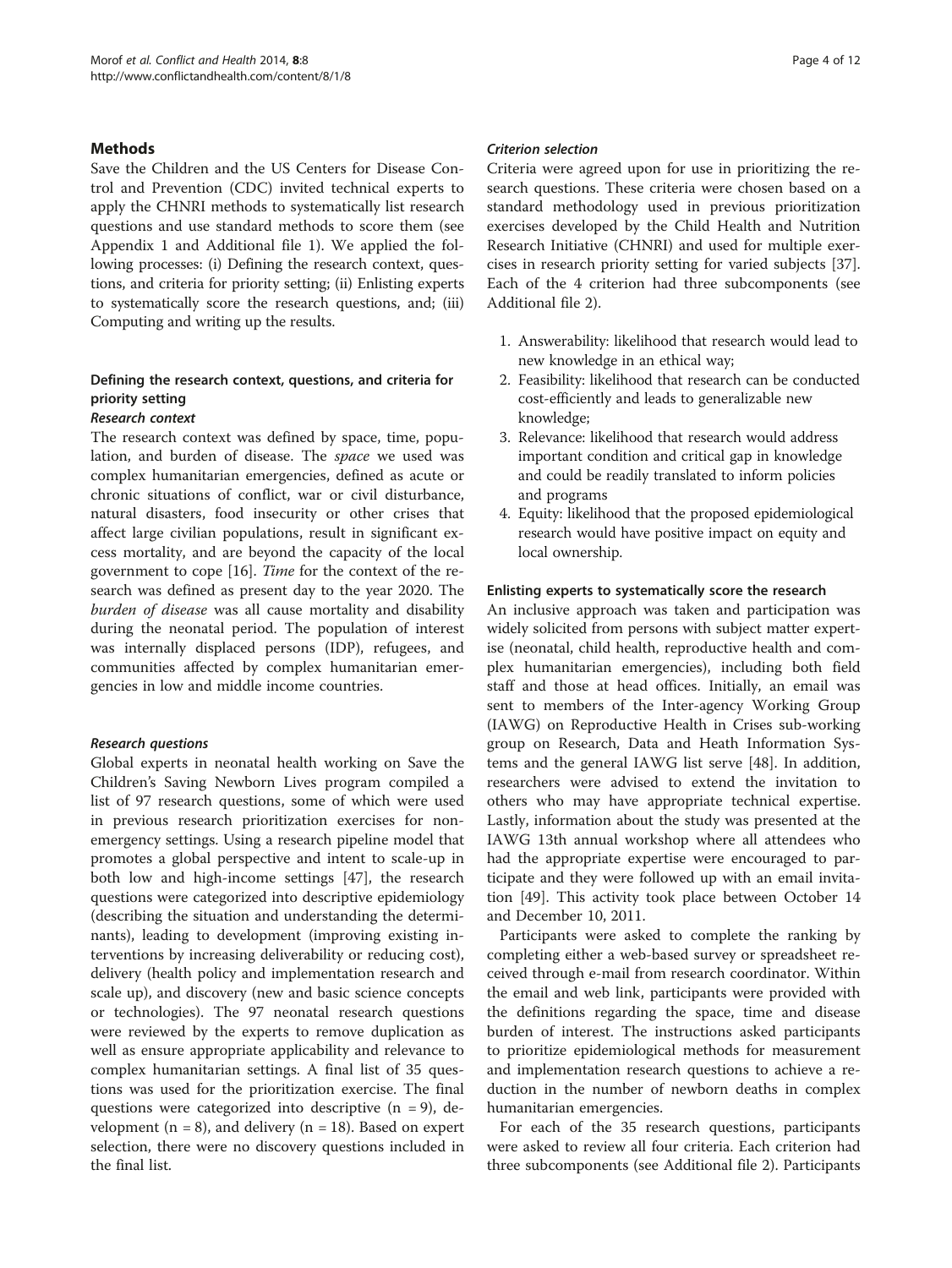## **Methods**

Save the Children and the US Centers for Disease Control and Prevention (CDC) invited technical experts to apply the CHNRI methods to systematically list research questions and use standard methods to score them (see Appendix [1](#page-8-0) and Additional file [1\)](#page-10-0). We applied the following processes: (i) Defining the research context, questions, and criteria for priority setting; (ii) Enlisting experts to systematically score the research questions, and; (iii) Computing and writing up the results.

## Defining the research context, questions, and criteria for priority setting

## Research context

The research context was defined by space, time, population, and burden of disease. The space we used was complex humanitarian emergencies, defined as acute or chronic situations of conflict, war or civil disturbance, natural disasters, food insecurity or other crises that affect large civilian populations, result in significant excess mortality, and are beyond the capacity of the local government to cope [[16](#page-10-0)]. Time for the context of the research was defined as present day to the year 2020. The burden of disease was all cause mortality and disability during the neonatal period. The population of interest was internally displaced persons (IDP), refugees, and communities affected by complex humanitarian emergencies in low and middle income countries.

#### Research questions

Global experts in neonatal health working on Save the Children's Saving Newborn Lives program compiled a list of 97 research questions, some of which were used in previous research prioritization exercises for nonemergency settings. Using a research pipeline model that promotes a global perspective and intent to scale-up in both low and high-income settings [[47\]](#page-11-0), the research questions were categorized into descriptive epidemiology (describing the situation and understanding the determinants), leading to development (improving existing interventions by increasing deliverability or reducing cost), delivery (health policy and implementation research and scale up), and discovery (new and basic science concepts or technologies). The 97 neonatal research questions were reviewed by the experts to remove duplication as well as ensure appropriate applicability and relevance to complex humanitarian settings. A final list of 35 questions was used for the prioritization exercise. The final questions were categorized into descriptive  $(n = 9)$ , development ( $n = 8$ ), and delivery ( $n = 18$ ). Based on expert selection, there were no discovery questions included in the final list.

## Criterion selection

Criteria were agreed upon for use in prioritizing the research questions. These criteria were chosen based on a standard methodology used in previous prioritization exercises developed by the Child Health and Nutrition Research Initiative (CHNRI) and used for multiple exercises in research priority setting for varied subjects [\[37](#page-11-0)]. Each of the 4 criterion had three subcomponents (see Additional file [2](#page-10-0)).

- 1. Answerability: likelihood that research would lead to new knowledge in an ethical way;
- 2. Feasibility: likelihood that research can be conducted cost-efficiently and leads to generalizable new knowledge;
- 3. Relevance: likelihood that research would address important condition and critical gap in knowledge and could be readily translated to inform policies and programs
- 4. Equity: likelihood that the proposed epidemiological research would have positive impact on equity and local ownership.

#### Enlisting experts to systematically score the research

An inclusive approach was taken and participation was widely solicited from persons with subject matter expertise (neonatal, child health, reproductive health and complex humanitarian emergencies), including both field staff and those at head offices. Initially, an email was sent to members of the Inter-agency Working Group (IAWG) on Reproductive Health in Crises sub-working group on Research, Data and Heath Information Systems and the general IAWG list serve [[48](#page-11-0)]. In addition, researchers were advised to extend the invitation to others who may have appropriate technical expertise. Lastly, information about the study was presented at the IAWG 13th annual workshop where all attendees who had the appropriate expertise were encouraged to participate and they were followed up with an email invitation [[49](#page-11-0)]. This activity took place between October 14 and December 10, 2011.

Participants were asked to complete the ranking by completing either a web-based survey or spreadsheet received through e-mail from research coordinator. Within the email and web link, participants were provided with the definitions regarding the space, time and disease burden of interest. The instructions asked participants to prioritize epidemiological methods for measurement and implementation research questions to achieve a reduction in the number of newborn deaths in complex humanitarian emergencies.

For each of the 35 research questions, participants were asked to review all four criteria. Each criterion had three subcomponents (see Additional file [2\)](#page-10-0). Participants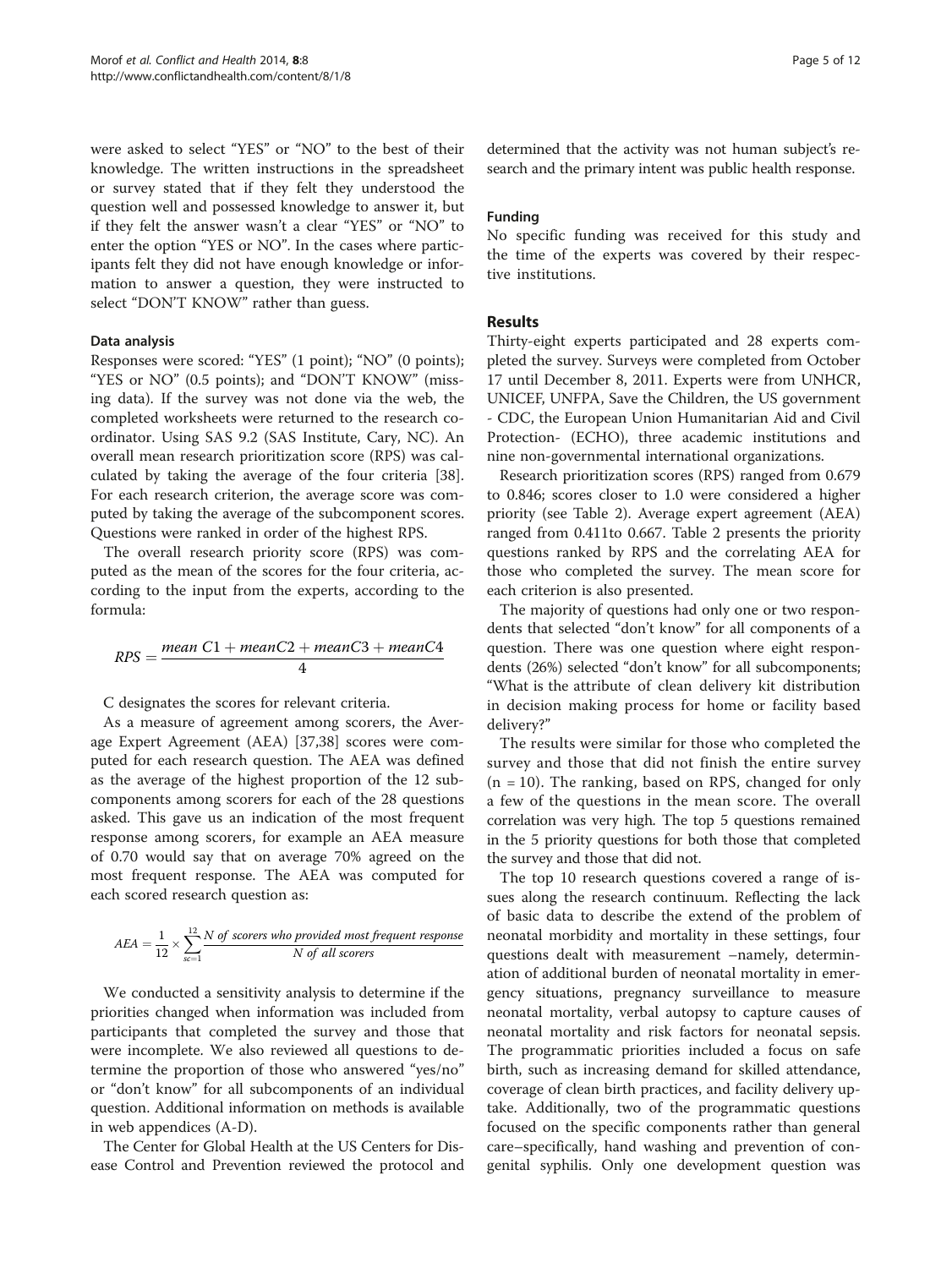were asked to select "YES" or "NO" to the best of their knowledge. The written instructions in the spreadsheet or survey stated that if they felt they understood the question well and possessed knowledge to answer it, but if they felt the answer wasn't a clear "YES" or "NO" to enter the option "YES or NO". In the cases where participants felt they did not have enough knowledge or information to answer a question, they were instructed to select "DON'T KNOW" rather than guess.

## Data analysis

Responses were scored: "YES" (1 point); "NO" (0 points); "YES or NO" (0.5 points); and "DON'T KNOW" (missing data). If the survey was not done via the web, the completed worksheets were returned to the research coordinator. Using SAS 9.2 (SAS Institute, Cary, NC). An overall mean research prioritization score (RPS) was calculated by taking the average of the four criteria [\[38](#page-11-0)]. For each research criterion, the average score was computed by taking the average of the subcomponent scores. Questions were ranked in order of the highest RPS.

The overall research priority score (RPS) was computed as the mean of the scores for the four criteria, according to the input from the experts, according to the formula:

$$
RPS = \frac{mean C1 + mean C2 + mean C3 + mean C4}{4}
$$

C designates the scores for relevant criteria.

As a measure of agreement among scorers, the Average Expert Agreement (AEA) [[37](#page-11-0),[38](#page-11-0)] scores were computed for each research question. The AEA was defined as the average of the highest proportion of the 12 subcomponents among scorers for each of the 28 questions asked. This gave us an indication of the most frequent response among scorers, for example an AEA measure of 0.70 would say that on average 70% agreed on the most frequent response. The AEA was computed for each scored research question as:

$$
AEA = \frac{1}{12} \times \sum_{sc=1}^{12} \frac{N \text{ of scores who provided most frequent response}}{N \text{ of all scores}}
$$

We conducted a sensitivity analysis to determine if the priorities changed when information was included from participants that completed the survey and those that were incomplete. We also reviewed all questions to determine the proportion of those who answered "yes/no" or "don't know" for all subcomponents of an individual question. Additional information on methods is available in web appendices (A-D).

The Center for Global Health at the US Centers for Disease Control and Prevention reviewed the protocol and

determined that the activity was not human subject's research and the primary intent was public health response.

## Funding

No specific funding was received for this study and the time of the experts was covered by their respective institutions.

## **Results**

Thirty-eight experts participated and 28 experts completed the survey. Surveys were completed from October 17 until December 8, 2011. Experts were from UNHCR, UNICEF, UNFPA, Save the Children, the US government - CDC, the European Union Humanitarian Aid and Civil Protection- (ECHO), three academic institutions and nine non-governmental international organizations.

Research prioritization scores (RPS) ranged from 0.679 to 0.846; scores closer to 1.0 were considered a higher priority (see Table [2\)](#page-5-0). Average expert agreement (AEA) ranged from 0.411to 0.667. Table [2](#page-5-0) presents the priority questions ranked by RPS and the correlating AEA for those who completed the survey. The mean score for each criterion is also presented.

The majority of questions had only one or two respondents that selected "don't know" for all components of a question. There was one question where eight respondents (26%) selected "don't know" for all subcomponents; "What is the attribute of clean delivery kit distribution in decision making process for home or facility based delivery?"

The results were similar for those who completed the survey and those that did not finish the entire survey  $(n = 10)$ . The ranking, based on RPS, changed for only a few of the questions in the mean score. The overall correlation was very high. The top 5 questions remained in the 5 priority questions for both those that completed the survey and those that did not.

The top 10 research questions covered a range of issues along the research continuum. Reflecting the lack of basic data to describe the extend of the problem of neonatal morbidity and mortality in these settings, four questions dealt with measurement –namely, determination of additional burden of neonatal mortality in emergency situations, pregnancy surveillance to measure neonatal mortality, verbal autopsy to capture causes of neonatal mortality and risk factors for neonatal sepsis. The programmatic priorities included a focus on safe birth, such as increasing demand for skilled attendance, coverage of clean birth practices, and facility delivery uptake. Additionally, two of the programmatic questions focused on the specific components rather than general care–specifically, hand washing and prevention of congenital syphilis. Only one development question was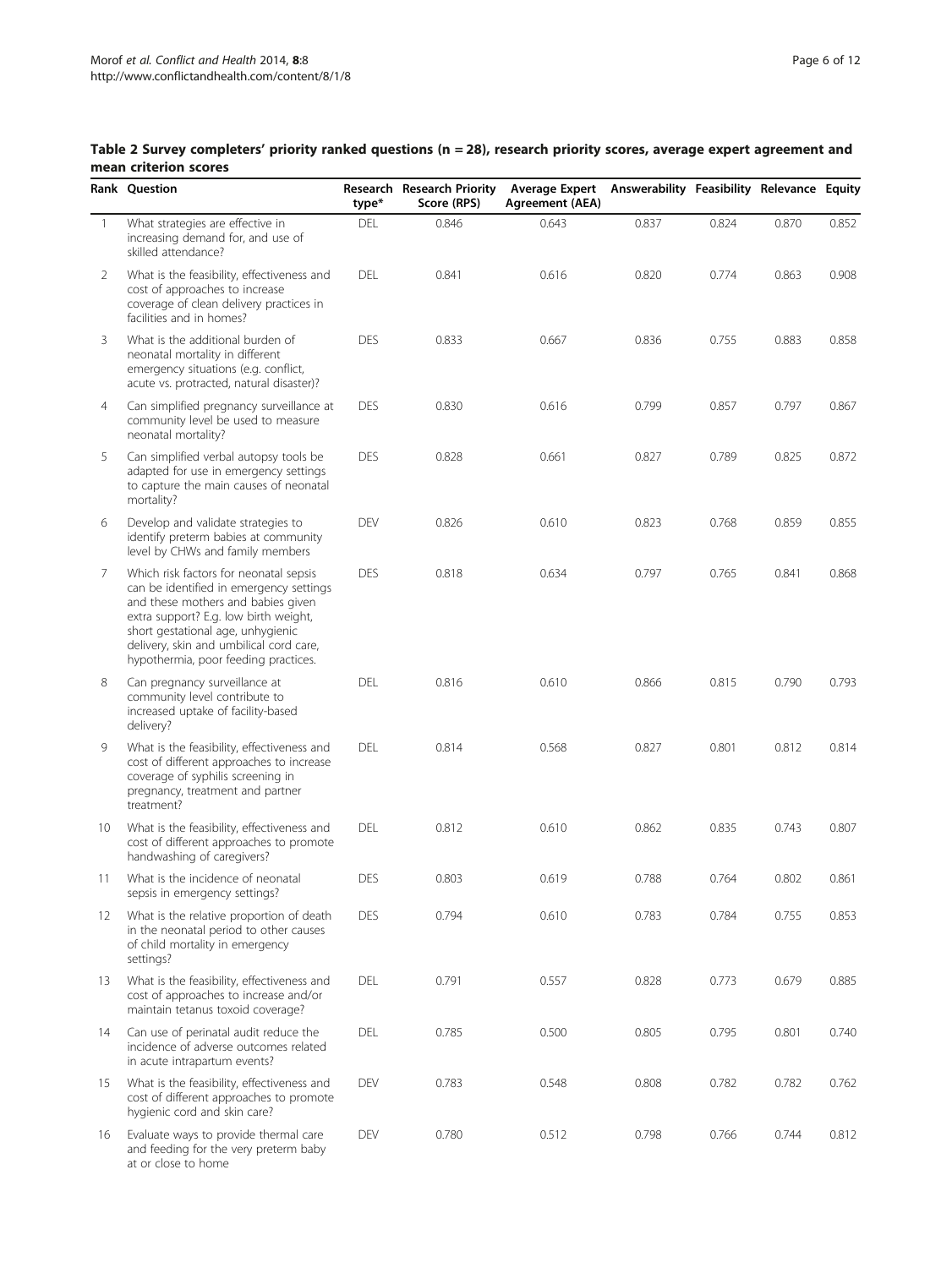|    | Rank Question                                                                                                                                                                                                                                                                            | type*      | Research Research Priority<br>Score (RPS) | <b>Average Expert</b><br><b>Agreement (AEA)</b> | Answerability Feasibility Relevance Equity |       |       |       |
|----|------------------------------------------------------------------------------------------------------------------------------------------------------------------------------------------------------------------------------------------------------------------------------------------|------------|-------------------------------------------|-------------------------------------------------|--------------------------------------------|-------|-------|-------|
| 1  | What strategies are effective in<br>increasing demand for, and use of<br>skilled attendance?                                                                                                                                                                                             | <b>DEL</b> | 0.846                                     | 0.643                                           | 0.837                                      | 0.824 | 0.870 | 0.852 |
| 2  | What is the feasibility, effectiveness and<br>cost of approaches to increase<br>coverage of clean delivery practices in<br>facilities and in homes?                                                                                                                                      | DEL        | 0.841                                     | 0.616                                           | 0.820                                      | 0.774 | 0.863 | 0.908 |
| 3  | What is the additional burden of<br>neonatal mortality in different<br>emergency situations (e.g. conflict,<br>acute vs. protracted, natural disaster)?                                                                                                                                  | <b>DES</b> | 0.833                                     | 0.667                                           | 0.836                                      | 0.755 | 0.883 | 0.858 |
| 4  | Can simplified pregnancy surveillance at<br>community level be used to measure<br>neonatal mortality?                                                                                                                                                                                    | <b>DES</b> | 0.830                                     | 0.616                                           | 0.799                                      | 0.857 | 0.797 | 0.867 |
| 5  | Can simplified verbal autopsy tools be<br>adapted for use in emergency settings<br>to capture the main causes of neonatal<br>mortality?                                                                                                                                                  | <b>DES</b> | 0.828                                     | 0.661                                           | 0.827                                      | 0.789 | 0.825 | 0.872 |
| 6  | Develop and validate strategies to<br>identify preterm babies at community<br>level by CHWs and family members                                                                                                                                                                           | <b>DEV</b> | 0.826                                     | 0.610                                           | 0.823                                      | 0.768 | 0.859 | 0.855 |
| 7  | Which risk factors for neonatal sepsis<br>can be identified in emergency settings<br>and these mothers and babies given<br>extra support? E.g. low birth weight,<br>short gestational age, unhygienic<br>delivery, skin and umbilical cord care,<br>hypothermia, poor feeding practices. | <b>DES</b> | 0.818                                     | 0.634                                           | 0.797                                      | 0.765 | 0.841 | 0.868 |
| 8  | Can pregnancy surveillance at<br>community level contribute to<br>increased uptake of facility-based<br>delivery?                                                                                                                                                                        | DEL        | 0.816                                     | 0.610                                           | 0.866                                      | 0.815 | 0.790 | 0.793 |
| 9  | What is the feasibility, effectiveness and<br>cost of different approaches to increase<br>coverage of syphilis screening in<br>pregnancy, treatment and partner<br>treatment?                                                                                                            | DEL.       | 0.814                                     | 0.568                                           | 0.827                                      | 0.801 | 0.812 | 0.814 |
| 10 | What is the feasibility, effectiveness and<br>cost of different approaches to promote<br>handwashing of caregivers?                                                                                                                                                                      | DEL        | 0.812                                     | 0.610                                           | 0.862                                      | 0.835 | 0.743 | 0.807 |
| 11 | What is the incidence of neonatal<br>sepsis in emergency settings?                                                                                                                                                                                                                       | <b>DES</b> | 0.803                                     | 0.619                                           | 0.788                                      | 0.764 | 0.802 | 0.861 |
| 12 | What is the relative proportion of death<br>in the neonatal period to other causes<br>of child mortality in emergency<br>settings?                                                                                                                                                       | <b>DES</b> | 0.794                                     | 0.610                                           | 0.783                                      | 0.784 | 0.755 | 0.853 |
| 13 | What is the feasibility, effectiveness and<br>cost of approaches to increase and/or<br>maintain tetanus toxoid coverage?                                                                                                                                                                 | DEL        | 0.791                                     | 0.557                                           | 0.828                                      | 0.773 | 0.679 | 0.885 |
| 14 | Can use of perinatal audit reduce the<br>incidence of adverse outcomes related<br>in acute intrapartum events?                                                                                                                                                                           | DEL        | 0.785                                     | 0.500                                           | 0.805                                      | 0.795 | 0.801 | 0.740 |
| 15 | What is the feasibility, effectiveness and<br>cost of different approaches to promote<br>hygienic cord and skin care?                                                                                                                                                                    | <b>DEV</b> | 0.783                                     | 0.548                                           | 0.808                                      | 0.782 | 0.782 | 0.762 |
| 16 | Evaluate ways to provide thermal care<br>and feeding for the very preterm baby<br>at or close to home                                                                                                                                                                                    | DEV        | 0.780                                     | 0.512                                           | 0.798                                      | 0.766 | 0.744 | 0.812 |

## <span id="page-5-0"></span>Table 2 Survey completers' priority ranked questions (n = 28), research priority scores, average expert agreement and mean criterion scores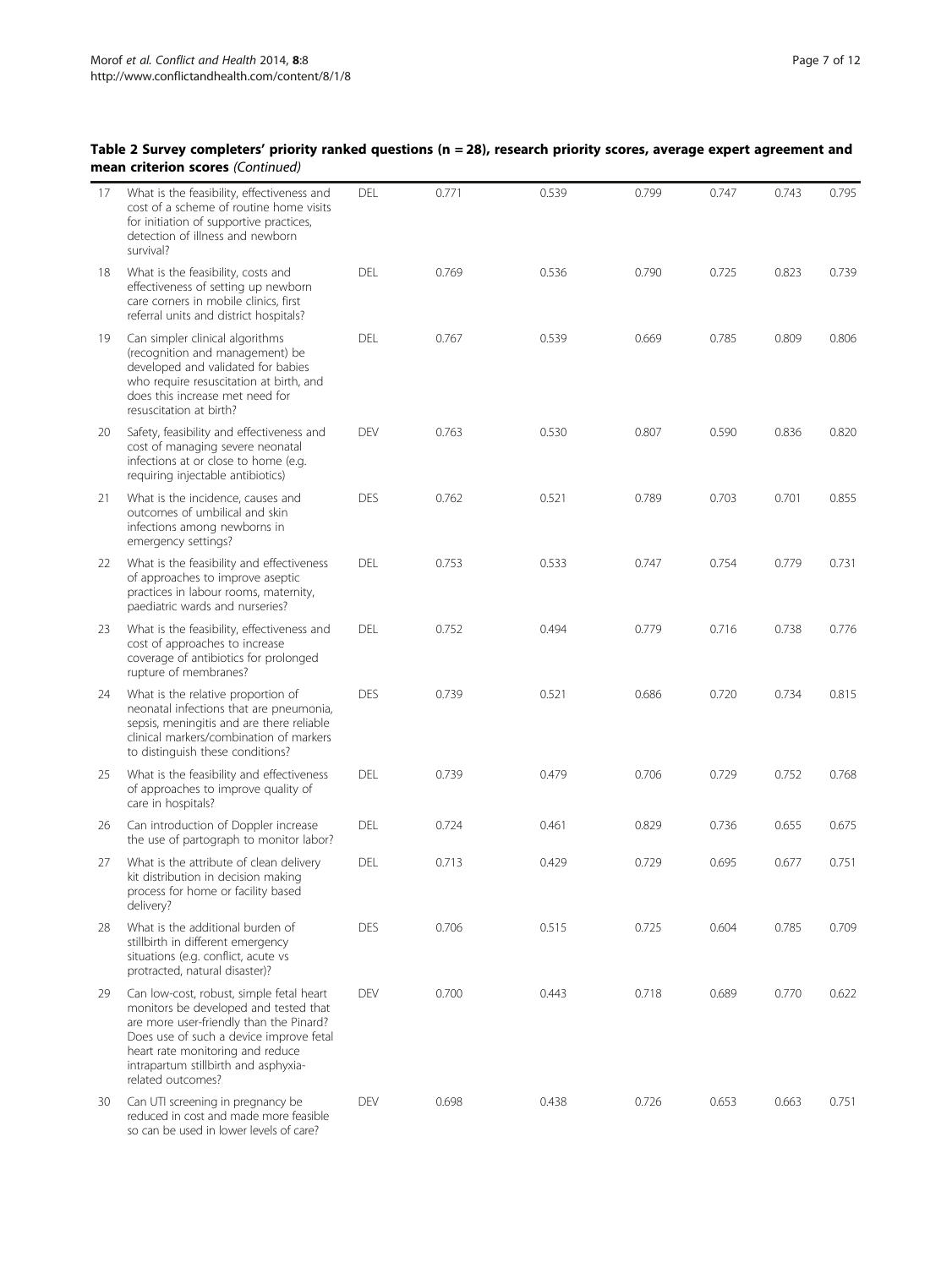## Table 2 Survey completers' priority ranked questions (n = 28), research priority scores, average expert agreement and mean criterion scores (Continued)

| 17 | What is the feasibility, effectiveness and<br>cost of a scheme of routine home visits<br>for initiation of supportive practices,<br>detection of illness and newborn<br>survival?                                                                                        | DEL        | 0.771 | 0.539 | 0.799 | 0.747 | 0.743 | 0.795 |
|----|--------------------------------------------------------------------------------------------------------------------------------------------------------------------------------------------------------------------------------------------------------------------------|------------|-------|-------|-------|-------|-------|-------|
| 18 | What is the feasibility, costs and<br>effectiveness of setting up newborn<br>care corners in mobile clinics, first<br>referral units and district hospitals?                                                                                                             | <b>DEL</b> | 0.769 | 0.536 | 0.790 | 0.725 | 0.823 | 0.739 |
| 19 | Can simpler clinical algorithms<br>(recognition and management) be<br>developed and validated for babies<br>who require resuscitation at birth, and<br>does this increase met need for<br>resuscitation at birth?                                                        | DEL        | 0.767 | 0.539 | 0.669 | 0.785 | 0.809 | 0.806 |
| 20 | Safety, feasibility and effectiveness and<br>cost of managing severe neonatal<br>infections at or close to home (e.g.<br>requiring injectable antibiotics)                                                                                                               | <b>DEV</b> | 0.763 | 0.530 | 0.807 | 0.590 | 0.836 | 0.820 |
| 21 | What is the incidence, causes and<br>outcomes of umbilical and skin<br>infections among newborns in<br>emergency settings?                                                                                                                                               | <b>DES</b> | 0.762 | 0.521 | 0.789 | 0.703 | 0.701 | 0.855 |
| 22 | What is the feasibility and effectiveness<br>of approaches to improve aseptic<br>practices in labour rooms, maternity,<br>paediatric wards and nurseries?                                                                                                                | <b>DEL</b> | 0.753 | 0.533 | 0.747 | 0.754 | 0.779 | 0.731 |
| 23 | What is the feasibility, effectiveness and<br>cost of approaches to increase<br>coverage of antibiotics for prolonged<br>rupture of membranes?                                                                                                                           | DEL        | 0.752 | 0.494 | 0.779 | 0.716 | 0.738 | 0.776 |
| 24 | What is the relative proportion of<br>neonatal infections that are pneumonia,<br>sepsis, meningitis and are there reliable<br>clinical markers/combination of markers<br>to distinguish these conditions?                                                                | <b>DES</b> | 0.739 | 0.521 | 0.686 | 0.720 | 0.734 | 0.815 |
| 25 | What is the feasibility and effectiveness<br>of approaches to improve quality of<br>care in hospitals?                                                                                                                                                                   | DEL        | 0.739 | 0.479 | 0.706 | 0.729 | 0.752 | 0.768 |
| 26 | Can introduction of Doppler increase<br>the use of partograph to monitor labor?                                                                                                                                                                                          | DEL        | 0.724 | 0.461 | 0.829 | 0.736 | 0.655 | 0.675 |
| 27 | What is the attribute of clean delivery<br>kit distribution in decision making<br>process for home or facility based<br>delivery?                                                                                                                                        | DEL        | 0.713 | 0.429 | 0.729 | 0.695 | 0.677 | 0.751 |
| 28 | What is the additional burden of<br>stillbirth in different emergency<br>situations (e.g. conflict, acute vs<br>protracted, natural disaster)?                                                                                                                           | <b>DES</b> | 0.706 | 0.515 | 0.725 | 0.604 | 0.785 | 0.709 |
| 29 | Can low-cost, robust, simple fetal heart<br>monitors be developed and tested that<br>are more user-friendly than the Pinard?<br>Does use of such a device improve fetal<br>heart rate monitoring and reduce<br>intrapartum stillbirth and asphyxia-<br>related outcomes? | <b>DEV</b> | 0.700 | 0.443 | 0.718 | 0.689 | 0.770 | 0.622 |
| 30 | Can UTI screening in pregnancy be<br>reduced in cost and made more feasible<br>so can be used in lower levels of care?                                                                                                                                                   | <b>DEV</b> | 0.698 | 0.438 | 0.726 | 0.653 | 0.663 | 0.751 |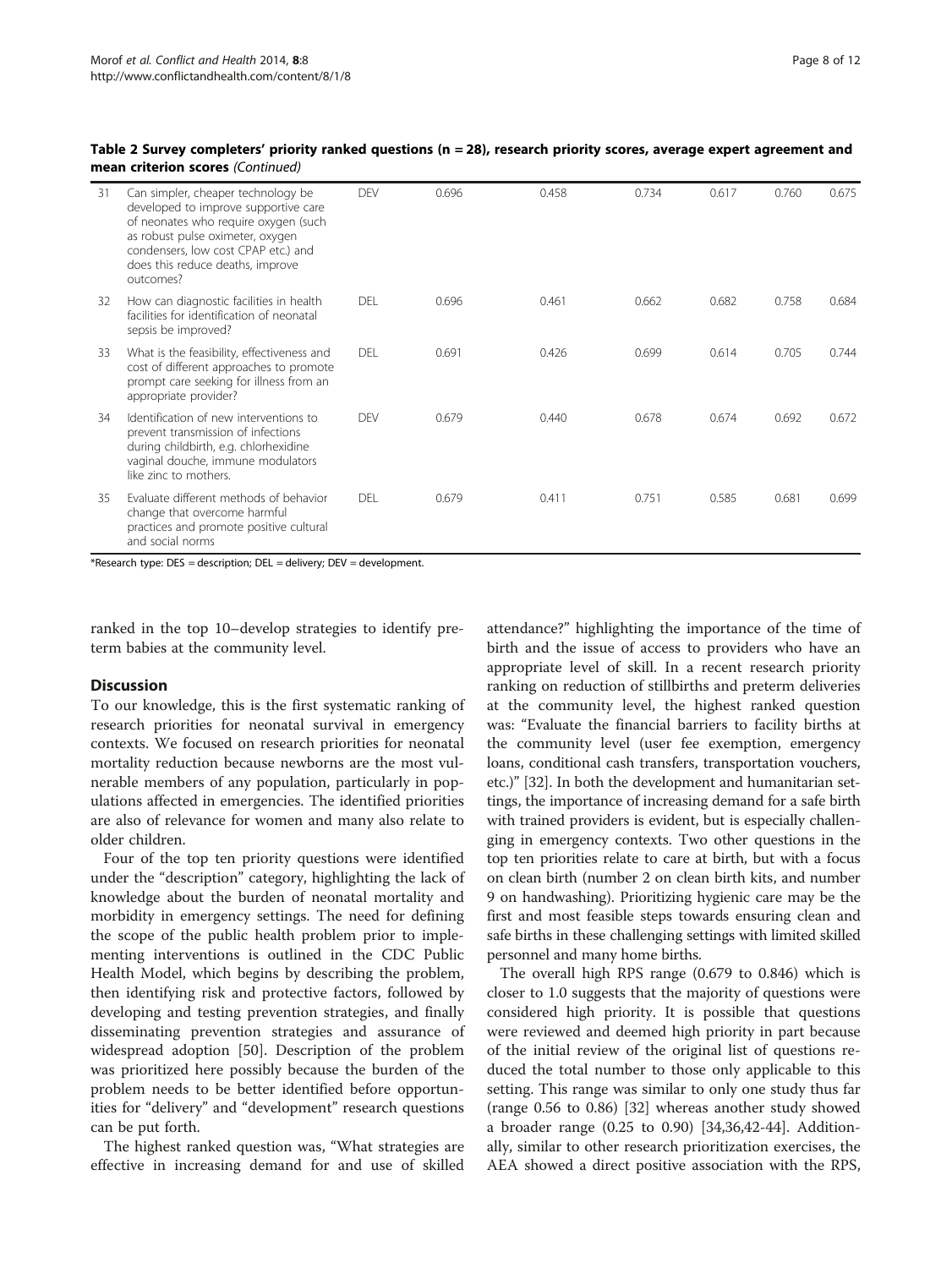| 31 | Can simpler, cheaper technology be<br>developed to improve supportive care<br>of neonates who require oxygen (such<br>as robust pulse oximeter, oxygen<br>condensers, low cost CPAP etc.) and<br>does this reduce deaths, improve<br>outcomes? | <b>DFV</b> | 0.696 | 0.458 | 0.734 | 0.617 | 0.760 | 0.675 |
|----|------------------------------------------------------------------------------------------------------------------------------------------------------------------------------------------------------------------------------------------------|------------|-------|-------|-------|-------|-------|-------|
| 32 | How can diagnostic facilities in health<br>facilities for identification of neonatal<br>sepsis be improved?                                                                                                                                    | <b>DFI</b> | 0.696 | 0.461 | 0.662 | 0.682 | 0.758 | 0.684 |
| 33 | What is the feasibility, effectiveness and<br>cost of different approaches to promote<br>prompt care seeking for illness from an<br>appropriate provider?                                                                                      | DFI        | 0.691 | 0.426 | 0.699 | 0.614 | 0.705 | 0.744 |
| 34 | Identification of new interventions to<br>prevent transmission of infections<br>during childbirth, e.g. chlorhexidine<br>vaginal douche, immune modulators<br>like zinc to mothers.                                                            | <b>DFV</b> | 0.679 | 0.440 | 0.678 | 0.674 | 0.692 | 0.672 |
| 35 | Evaluate different methods of behavior<br>change that overcome harmful<br>practices and promote positive cultural<br>and social norms                                                                                                          | <b>DFI</b> | 0.679 | 0.411 | 0.751 | 0.585 | 0.681 | 0.699 |

## Table 2 Survey completers' priority ranked questions (n = 28), research priority scores, average expert agreement and mean criterion scores (Continued)

\*Research type: DES = description; DEL = delivery; DEV = development.

ranked in the top 10–develop strategies to identify preterm babies at the community level.

## **Discussion**

To our knowledge, this is the first systematic ranking of research priorities for neonatal survival in emergency contexts. We focused on research priorities for neonatal mortality reduction because newborns are the most vulnerable members of any population, particularly in populations affected in emergencies. The identified priorities are also of relevance for women and many also relate to older children.

Four of the top ten priority questions were identified under the "description" category, highlighting the lack of knowledge about the burden of neonatal mortality and morbidity in emergency settings. The need for defining the scope of the public health problem prior to implementing interventions is outlined in the CDC Public Health Model, which begins by describing the problem, then identifying risk and protective factors, followed by developing and testing prevention strategies, and finally disseminating prevention strategies and assurance of widespread adoption [\[50\]](#page-11-0). Description of the problem was prioritized here possibly because the burden of the problem needs to be better identified before opportunities for "delivery" and "development" research questions can be put forth.

The highest ranked question was, "What strategies are effective in increasing demand for and use of skilled

attendance?" highlighting the importance of the time of birth and the issue of access to providers who have an appropriate level of skill. In a recent research priority ranking on reduction of stillbirths and preterm deliveries at the community level, the highest ranked question was: "Evaluate the financial barriers to facility births at the community level (user fee exemption, emergency loans, conditional cash transfers, transportation vouchers, etc.)" [[32](#page-11-0)]. In both the development and humanitarian settings, the importance of increasing demand for a safe birth with trained providers is evident, but is especially challenging in emergency contexts. Two other questions in the top ten priorities relate to care at birth, but with a focus on clean birth (number 2 on clean birth kits, and number 9 on handwashing). Prioritizing hygienic care may be the first and most feasible steps towards ensuring clean and safe births in these challenging settings with limited skilled personnel and many home births.

The overall high RPS range (0.679 to 0.846) which is closer to 1.0 suggests that the majority of questions were considered high priority. It is possible that questions were reviewed and deemed high priority in part because of the initial review of the original list of questions reduced the total number to those only applicable to this setting. This range was similar to only one study thus far (range 0.56 to 0.86) [[32\]](#page-11-0) whereas another study showed a broader range (0.25 to 0.90) [[34,36,42-44\]](#page-11-0). Additionally, similar to other research prioritization exercises, the AEA showed a direct positive association with the RPS,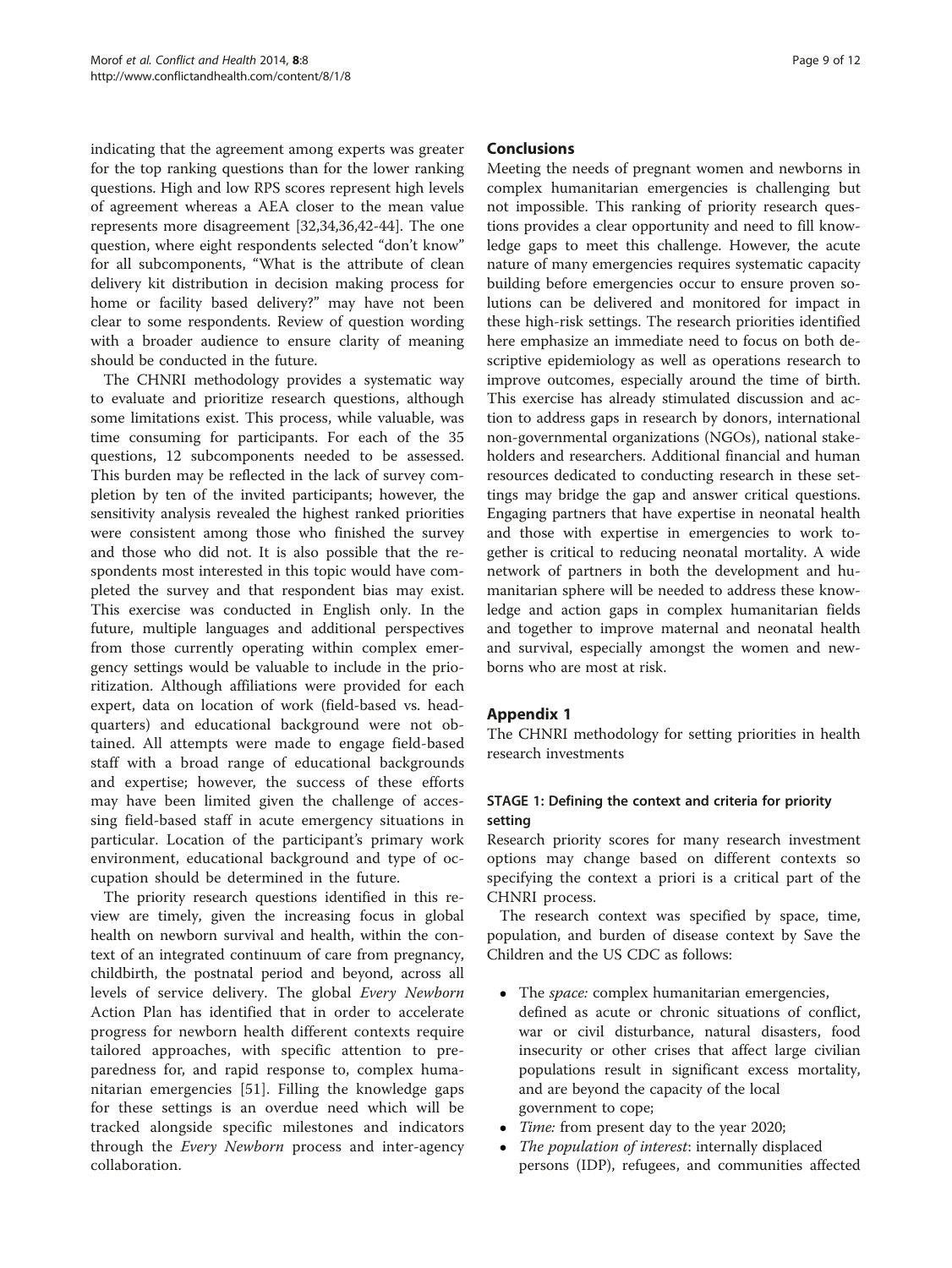<span id="page-8-0"></span>indicating that the agreement among experts was greater for the top ranking questions than for the lower ranking questions. High and low RPS scores represent high levels of agreement whereas a AEA closer to the mean value represents more disagreement [\[32,34,36,42-44](#page-11-0)]. The one question, where eight respondents selected "don't know" for all subcomponents, "What is the attribute of clean delivery kit distribution in decision making process for home or facility based delivery?" may have not been clear to some respondents. Review of question wording with a broader audience to ensure clarity of meaning should be conducted in the future.

The CHNRI methodology provides a systematic way to evaluate and prioritize research questions, although some limitations exist. This process, while valuable, was time consuming for participants. For each of the 35 questions, 12 subcomponents needed to be assessed. This burden may be reflected in the lack of survey completion by ten of the invited participants; however, the sensitivity analysis revealed the highest ranked priorities were consistent among those who finished the survey and those who did not. It is also possible that the respondents most interested in this topic would have completed the survey and that respondent bias may exist. This exercise was conducted in English only. In the future, multiple languages and additional perspectives from those currently operating within complex emergency settings would be valuable to include in the prioritization. Although affiliations were provided for each expert, data on location of work (field-based vs. headquarters) and educational background were not obtained. All attempts were made to engage field-based staff with a broad range of educational backgrounds and expertise; however, the success of these efforts may have been limited given the challenge of accessing field-based staff in acute emergency situations in particular. Location of the participant's primary work environment, educational background and type of occupation should be determined in the future.

The priority research questions identified in this review are timely, given the increasing focus in global health on newborn survival and health, within the context of an integrated continuum of care from pregnancy, childbirth, the postnatal period and beyond, across all levels of service delivery. The global Every Newborn Action Plan has identified that in order to accelerate progress for newborn health different contexts require tailored approaches, with specific attention to preparedness for, and rapid response to, complex humanitarian emergencies [\[51](#page-11-0)]. Filling the knowledge gaps for these settings is an overdue need which will be tracked alongside specific milestones and indicators through the Every Newborn process and inter-agency collaboration.

## Conclusions

Meeting the needs of pregnant women and newborns in complex humanitarian emergencies is challenging but not impossible. This ranking of priority research questions provides a clear opportunity and need to fill knowledge gaps to meet this challenge. However, the acute nature of many emergencies requires systematic capacity building before emergencies occur to ensure proven solutions can be delivered and monitored for impact in these high-risk settings. The research priorities identified here emphasize an immediate need to focus on both descriptive epidemiology as well as operations research to improve outcomes, especially around the time of birth. This exercise has already stimulated discussion and action to address gaps in research by donors, international non-governmental organizations (NGOs), national stakeholders and researchers. Additional financial and human resources dedicated to conducting research in these settings may bridge the gap and answer critical questions. Engaging partners that have expertise in neonatal health and those with expertise in emergencies to work together is critical to reducing neonatal mortality. A wide network of partners in both the development and humanitarian sphere will be needed to address these knowledge and action gaps in complex humanitarian fields and together to improve maternal and neonatal health and survival, especially amongst the women and newborns who are most at risk.

## Appendix 1

The CHNRI methodology for setting priorities in health research investments

## STAGE 1: Defining the context and criteria for priority setting

Research priority scores for many research investment options may change based on different contexts so specifying the context a priori is a critical part of the CHNRI process.

The research context was specified by space, time, population, and burden of disease context by Save the Children and the US CDC as follows:

- The *space:* complex humanitarian emergencies, defined as acute or chronic situations of conflict, war or civil disturbance, natural disasters, food insecurity or other crises that affect large civilian populations result in significant excess mortality, and are beyond the capacity of the local government to cope;
- Time: from present day to the year 2020;
- The population of interest: internally displaced persons (IDP), refugees, and communities affected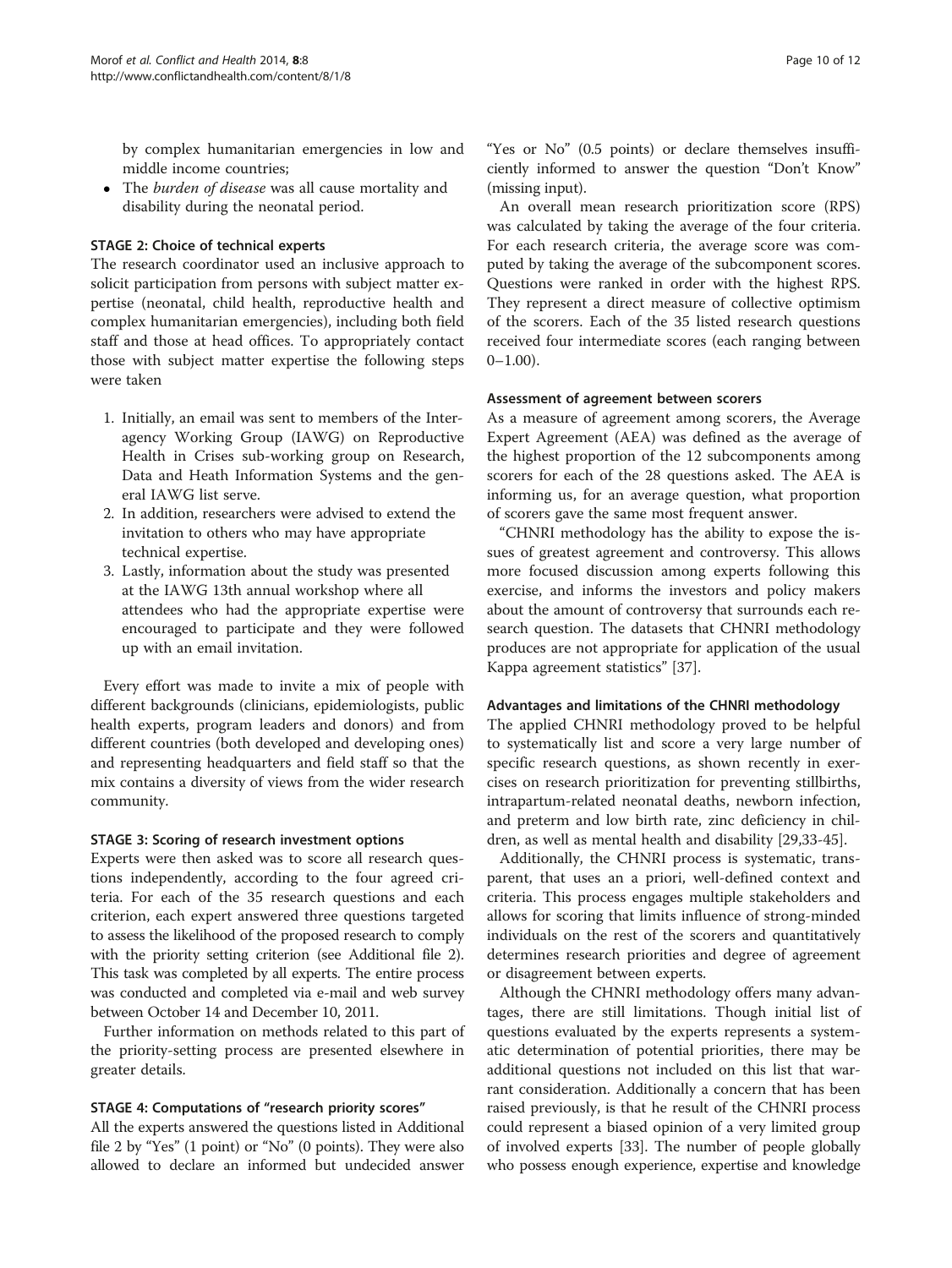by complex humanitarian emergencies in low and middle income countries;

• The burden of disease was all cause mortality and disability during the neonatal period.

## STAGE 2: Choice of technical experts

The research coordinator used an inclusive approach to solicit participation from persons with subject matter expertise (neonatal, child health, reproductive health and complex humanitarian emergencies), including both field staff and those at head offices. To appropriately contact those with subject matter expertise the following steps were taken

- 1. Initially, an email was sent to members of the Interagency Working Group (IAWG) on Reproductive Health in Crises sub-working group on Research, Data and Heath Information Systems and the general IAWG list serve.
- 2. In addition, researchers were advised to extend the invitation to others who may have appropriate technical expertise.
- 3. Lastly, information about the study was presented at the IAWG 13th annual workshop where all attendees who had the appropriate expertise were encouraged to participate and they were followed up with an email invitation.

Every effort was made to invite a mix of people with different backgrounds (clinicians, epidemiologists, public health experts, program leaders and donors) and from different countries (both developed and developing ones) and representing headquarters and field staff so that the mix contains a diversity of views from the wider research community.

## STAGE 3: Scoring of research investment options

Experts were then asked was to score all research questions independently, according to the four agreed criteria. For each of the 35 research questions and each criterion, each expert answered three questions targeted to assess the likelihood of the proposed research to comply with the priority setting criterion (see Additional file [2](#page-10-0)). This task was completed by all experts. The entire process was conducted and completed via e-mail and web survey between October 14 and December 10, 2011.

Further information on methods related to this part of the priority-setting process are presented elsewhere in greater details.

## STAGE 4: Computations of "research priority scores"

All the experts answered the questions listed in Additional file [2](#page-10-0) by "Yes" (1 point) or "No" (0 points). They were also allowed to declare an informed but undecided answer "Yes or No" (0.5 points) or declare themselves insufficiently informed to answer the question "Don't Know" (missing input).

An overall mean research prioritization score (RPS) was calculated by taking the average of the four criteria. For each research criteria, the average score was computed by taking the average of the subcomponent scores. Questions were ranked in order with the highest RPS. They represent a direct measure of collective optimism of the scorers. Each of the 35 listed research questions received four intermediate scores (each ranging between  $0-1.00$ ).

## Assessment of agreement between scorers

As a measure of agreement among scorers, the Average Expert Agreement (AEA) was defined as the average of the highest proportion of the 12 subcomponents among scorers for each of the 28 questions asked. The AEA is informing us, for an average question, what proportion of scorers gave the same most frequent answer.

"CHNRI methodology has the ability to expose the issues of greatest agreement and controversy. This allows more focused discussion among experts following this exercise, and informs the investors and policy makers about the amount of controversy that surrounds each research question. The datasets that CHNRI methodology produces are not appropriate for application of the usual Kappa agreement statistics" [[37](#page-11-0)].

## Advantages and limitations of the CHNRI methodology

The applied CHNRI methodology proved to be helpful to systematically list and score a very large number of specific research questions, as shown recently in exercises on research prioritization for preventing stillbirths, intrapartum-related neonatal deaths, newborn infection, and preterm and low birth rate, zinc deficiency in children, as well as mental health and disability [[29,33-45\]](#page-11-0).

Additionally, the CHNRI process is systematic, transparent, that uses an a priori, well-defined context and criteria. This process engages multiple stakeholders and allows for scoring that limits influence of strong-minded individuals on the rest of the scorers and quantitatively determines research priorities and degree of agreement or disagreement between experts.

Although the CHNRI methodology offers many advantages, there are still limitations. Though initial list of questions evaluated by the experts represents a systematic determination of potential priorities, there may be additional questions not included on this list that warrant consideration. Additionally a concern that has been raised previously, is that he result of the CHNRI process could represent a biased opinion of a very limited group of involved experts [[33](#page-11-0)]. The number of people globally who possess enough experience, expertise and knowledge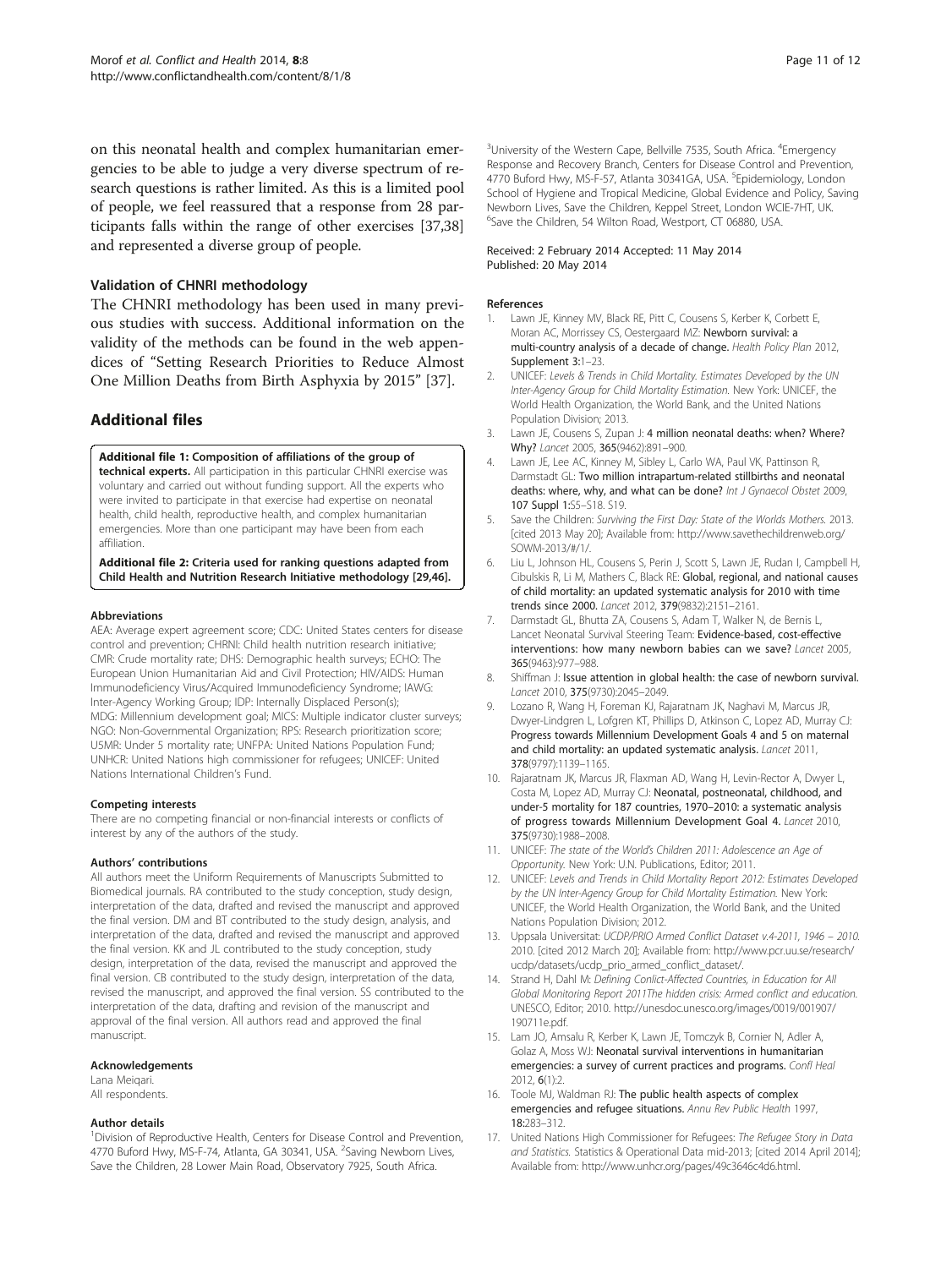<span id="page-10-0"></span>on this neonatal health and complex humanitarian emergencies to be able to judge a very diverse spectrum of research questions is rather limited. As this is a limited pool of people, we feel reassured that a response from 28 participants falls within the range of other exercises [\[37,38](#page-11-0)] and represented a diverse group of people.

## Validation of CHNRI methodology

The CHNRI methodology has been used in many previous studies with success. Additional information on the validity of the methods can be found in the web appendices of "Setting Research Priorities to Reduce Almost One Million Deaths from Birth Asphyxia by 2015" [[37](#page-11-0)].

## Additional files

[Additional file 1:](http://www.biomedcentral.com/content/supplementary/1752-1505-8-8-S1.doc) Composition of affiliations of the group of

technical experts. All participation in this particular CHNRI exercise was voluntary and carried out without funding support. All the experts who were invited to participate in that exercise had expertise on neonatal health, child health, reproductive health, and complex humanitarian emergencies. More than one participant may have been from each affiliation.

[Additional file 2:](http://www.biomedcentral.com/content/supplementary/1752-1505-8-8-S2.doc) Criteria used for ranking questions adapted from Child Health and Nutrition Research Initiative methodology [[29,46](#page-11-0)].

#### Abbreviations

AEA: Average expert agreement score; CDC: United States centers for disease control and prevention; CHRNI: Child health nutrition research initiative; CMR: Crude mortality rate; DHS: Demographic health surveys; ECHO: The European Union Humanitarian Aid and Civil Protection; HIV/AIDS: Human Immunodeficiency Virus/Acquired Immunodeficiency Syndrome; IAWG: Inter-Agency Working Group; IDP: Internally Displaced Person(s); MDG: Millennium development goal; MICS: Multiple indicator cluster surveys; NGO: Non-Governmental Organization; RPS: Research prioritization score; U5MR: Under 5 mortality rate; UNFPA: United Nations Population Fund; UNHCR: United Nations high commissioner for refugees; UNICEF: United Nations International Children's Fund.

#### Competing interests

There are no competing financial or non-financial interests or conflicts of interest by any of the authors of the study.

#### Authors' contributions

All authors meet the Uniform Requirements of Manuscripts Submitted to Biomedical journals. RA contributed to the study conception, study design, interpretation of the data, drafted and revised the manuscript and approved the final version. DM and BT contributed to the study design, analysis, and interpretation of the data, drafted and revised the manuscript and approved the final version. KK and JL contributed to the study conception, study design, interpretation of the data, revised the manuscript and approved the final version. CB contributed to the study design, interpretation of the data, revised the manuscript, and approved the final version. SS contributed to the interpretation of the data, drafting and revision of the manuscript and approval of the final version. All authors read and approved the final manuscript.

#### Acknowledgements

Lana Meiqari. All respondents.

#### Author details

<sup>1</sup> Division of Reproductive Health, Centers for Disease Control and Prevention, 4770 Buford Hwy, MS-F-74, Atlanta, GA 30341, USA. <sup>2</sup>Saving Newborn Lives, Save the Children, 28 Lower Main Road, Observatory 7925, South Africa.

<sup>3</sup>University of the Western Cape, Bellville 7535, South Africa. <sup>4</sup>Emergency Response and Recovery Branch, Centers for Disease Control and Prevention, 4770 Buford Hwy, MS-F-57, Atlanta 30341GA, USA. <sup>5</sup>Epidemiology, London School of Hygiene and Tropical Medicine, Global Evidence and Policy, Saving Newborn Lives, Save the Children, Keppel Street, London WCIE-7HT, UK. 6 Save the Children, 54 Wilton Road, Westport, CT 06880, USA.

#### Received: 2 February 2014 Accepted: 11 May 2014 Published: 20 May 2014

#### References

- 1. Lawn JE, Kinney MV, Black RE, Pitt C, Cousens S, Kerber K, Corbett E, Moran AC, Morrissey CS, Oestergaard MZ: Newborn survival: a multi-country analysis of a decade of change. Health Policy Plan 2012, Supplement 3:1-23.
- 2. UNICEF: Levels & Trends in Child Mortality. Estimates Developed by the UN Inter-Agency Group for Child Mortality Estimation. New York: UNICEF, the World Health Organization, the World Bank, and the United Nations Population Division; 2013.
- 3. Lawn JE, Cousens S, Zupan J: 4 million neonatal deaths: when? Where? Why? Lancet 2005, 365(9462):891-900.
- 4. Lawn JE, Lee AC, Kinney M, Sibley L, Carlo WA, Paul VK, Pattinson R, Darmstadt GL: Two million intrapartum-related stillbirths and neonatal deaths: where, why, and what can be done? Int J Gynaecol Obstet 2009, 107 Suppl 1:S5–S18. S19.
- 5. Save the Children: Surviving the First Day: State of the Worlds Mothers. 2013. [cited 2013 May 20]; Available from: [http://www.savethechildrenweb.org/](http://www.savethechildrenweb.org/SOWM-2013/#/1/) [SOWM-2013/#/1/.](http://www.savethechildrenweb.org/SOWM-2013/#/1/)
- 6. Liu L, Johnson HL, Cousens S, Perin J, Scott S, Lawn JE, Rudan I, Campbell H, Cibulskis R, Li M, Mathers C, Black RE: Global, regional, and national causes of child mortality: an updated systematic analysis for 2010 with time trends since 2000. Lancet 2012, 379(9832):2151–2161.
- 7. Darmstadt GL, Bhutta ZA, Cousens S, Adam T, Walker N, de Bernis L, Lancet Neonatal Survival Steering Team: Evidence-based, cost-effective interventions: how many newborn babies can we save? Lancet 2005, 365(9463):977–988.
- 8. Shiffman J: Issue attention in global health: the case of newborn survival. Lancet 2010, 375(9730):2045–2049.
- 9. Lozano R, Wang H, Foreman KJ, Rajaratnam JK, Naghavi M, Marcus JR, Dwyer-Lindgren L, Lofgren KT, Phillips D, Atkinson C, Lopez AD, Murray CJ: Progress towards Millennium Development Goals 4 and 5 on maternal and child mortality: an updated systematic analysis. Lancet 2011, 378(9797):1139–1165.
- 10. Rajaratnam JK, Marcus JR, Flaxman AD, Wang H, Levin-Rector A, Dwyer L, Costa M, Lopez AD, Murray CJ: Neonatal, postneonatal, childhood, and under-5 mortality for 187 countries, 1970–2010: a systematic analysis of progress towards Millennium Development Goal 4. Lancet 2010, 375(9730):1988–2008.
- 11. UNICEF: The state of the World's Children 2011: Adolescence an Age of Opportunity. New York: U.N. Publications, Editor; 2011.
- 12. UNICEF: Levels and Trends in Child Mortality Report 2012: Estimates Developed by the UN Inter-Agency Group for Child Mortality Estimation. New York: UNICEF, the World Health Organization, the World Bank, and the United Nations Population Division; 2012.
- 13. Uppsala Universitat: UCDP/PRIO Armed Conflict Dataset v.4-2011, 1946 2010. 2010. [cited 2012 March 20]; Available from: [http://www.pcr.uu.se/research/](http://www.pcr.uu.se/research/ucdp/datasets/ucdp_prio_armed_conflict_dataset/) [ucdp/datasets/ucdp\\_prio\\_armed\\_conflict\\_dataset/](http://www.pcr.uu.se/research/ucdp/datasets/ucdp_prio_armed_conflict_dataset/).
- 14. Strand H, Dahl M: Defining Conlict-Affected Countries, in Education for All Global Monitoring Report 2011The hidden crisis: Armed conflict and education. UNESCO, Editor; 2010. [http://unesdoc.unesco.org/images/0019/001907/](http://unesdoc.unesco.org/images/0019/001907/190711e.pdf) [190711e.pdf](http://unesdoc.unesco.org/images/0019/001907/190711e.pdf).
- 15. Lam JO, Amsalu R, Kerber K, Lawn JE, Tomczyk B, Cornier N, Adler A, Golaz A, Moss WJ: Neonatal survival interventions in humanitarian emergencies: a survey of current practices and programs. Confl Heal 2012, 6(1):2.
- 16. Toole MJ, Waldman RJ: The public health aspects of complex emergencies and refugee situations. Annu Rev Public Health 1997, 18:283–312.
- 17. United Nations High Commissioner for Refugees: The Refugee Story in Data and Statistics. Statistics & Operational Data mid-2013; [cited 2014 April 2014]; Available from: [http://www.unhcr.org/pages/49c3646c4d6.html.](http://www.unhcr.org/pages/49c3646c4d6.html)